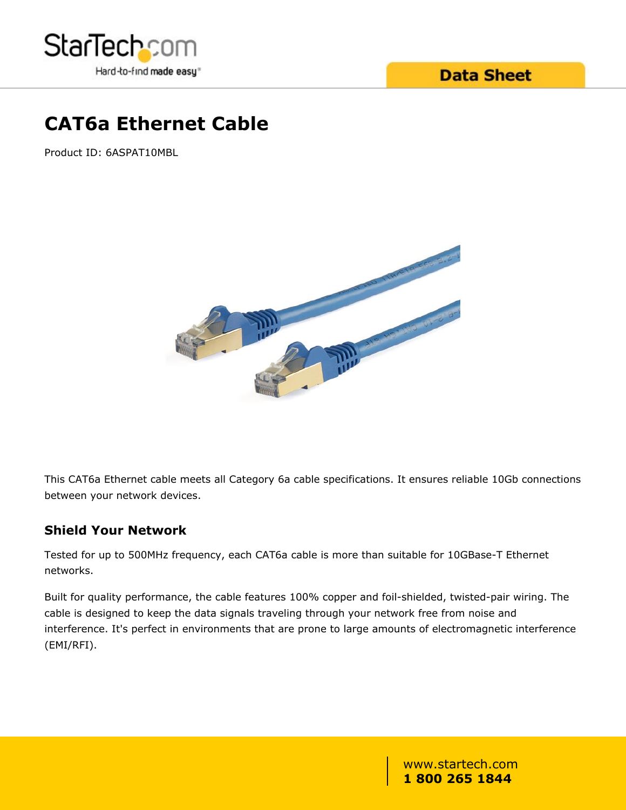

## **CAT6a Ethernet Cable**

Product ID: 6ASPAT10MBL



This CAT6a Ethernet cable meets all Category 6a cable specifications. It ensures reliable 10Gb connections between your network devices.

#### **Shield Your Network**

Tested for up to 500MHz frequency, each CAT6a cable is more than suitable for 10GBase-T Ethernet networks.

Built for quality performance, the cable features 100% copper and foil-shielded, twisted-pair wiring. The cable is designed to keep the data signals traveling through your network free from noise and interference. It's perfect in environments that are prone to large amounts of electromagnetic interference (EMI/RFI).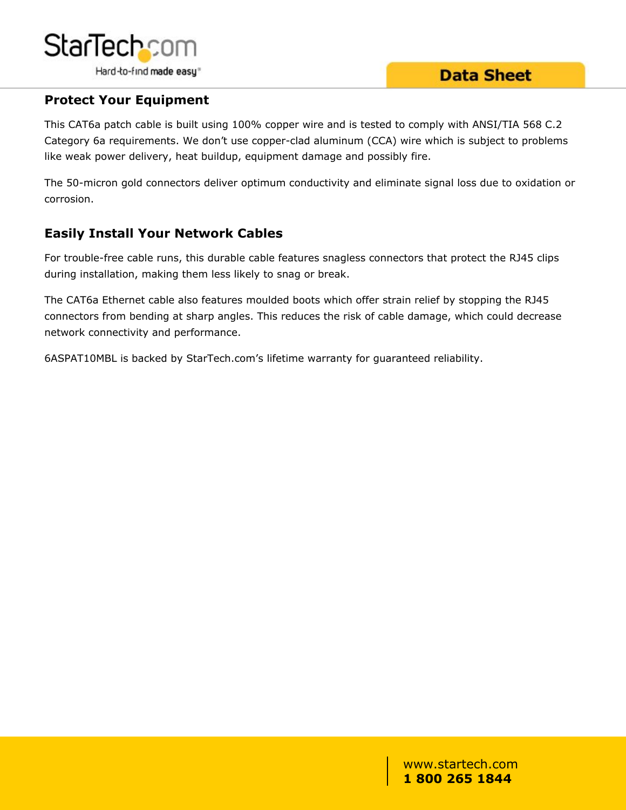

#### **Protect Your Equipment**

This CAT6a patch cable is built using 100% copper wire and is tested to comply with ANSI/TIA 568 C.2 Category 6a requirements. We don't use copper-clad aluminum (CCA) wire which is subject to problems like weak power delivery, heat buildup, equipment damage and possibly fire.

The 50-micron gold connectors deliver optimum conductivity and eliminate signal loss due to oxidation or corrosion.

#### **Easily Install Your Network Cables**

For trouble-free cable runs, this durable cable features snagless connectors that protect the RJ45 clips during installation, making them less likely to snag or break.

The CAT6a Ethernet cable also features moulded boots which offer strain relief by stopping the RJ45 connectors from bending at sharp angles. This reduces the risk of cable damage, which could decrease network connectivity and performance.

6ASPAT10MBL is backed by StarTech.com's lifetime warranty for guaranteed reliability.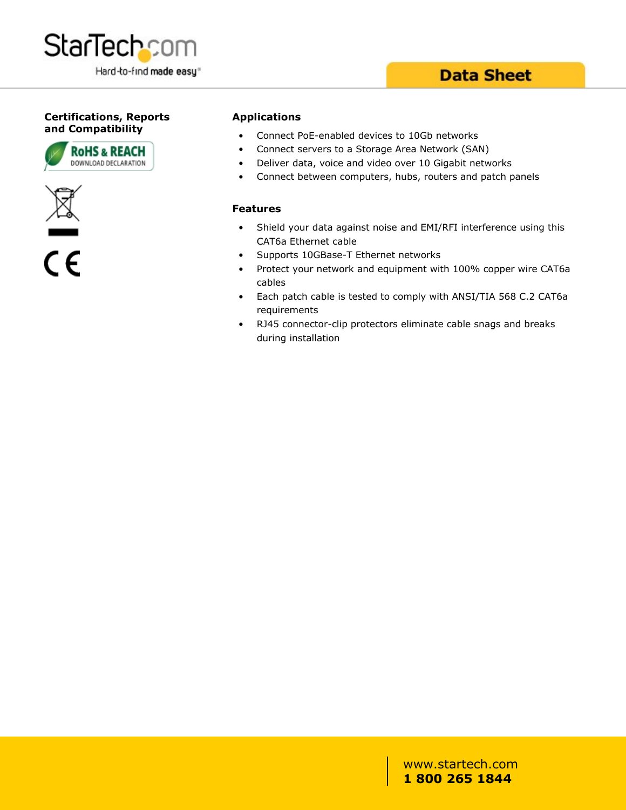

#### **Certifications, Reports and Compatibility**





 $\overline{\mathsf{c}\mathsf{\epsilon}}$ 

#### **Applications**

- Connect PoE-enabled devices to 10Gb networks
- Connect servers to a Storage Area Network (SAN)
- Deliver data, voice and video over 10 Gigabit networks
- Connect between computers, hubs, routers and patch panels

#### **Features**

- Shield your data against noise and EMI/RFI interference using this CAT6a Ethernet cable
- Supports 10GBase-T Ethernet networks
- Protect your network and equipment with 100% copper wire CAT6a cables
- Each patch cable is tested to comply with ANSI/TIA 568 C.2 CAT6a requirements
- RJ45 connector-clip protectors eliminate cable snags and breaks during installation